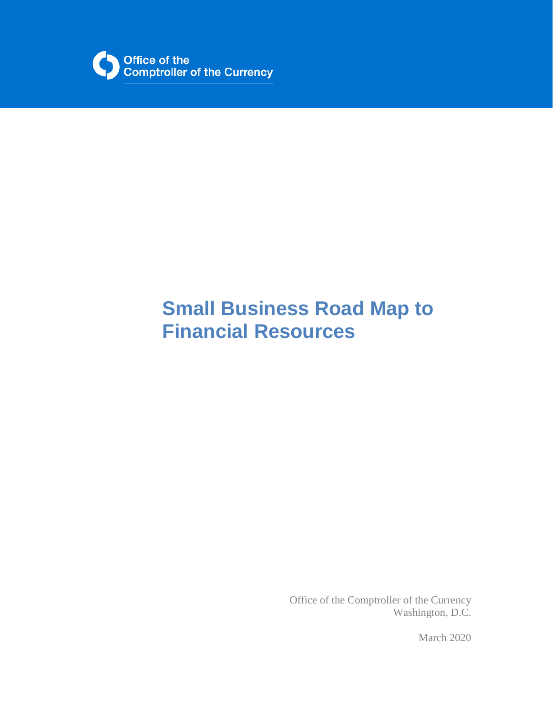

# **Small Business Road Map to Financial Resources**

Office of the Comptroller of the Currency Washington, D.C.

March 2020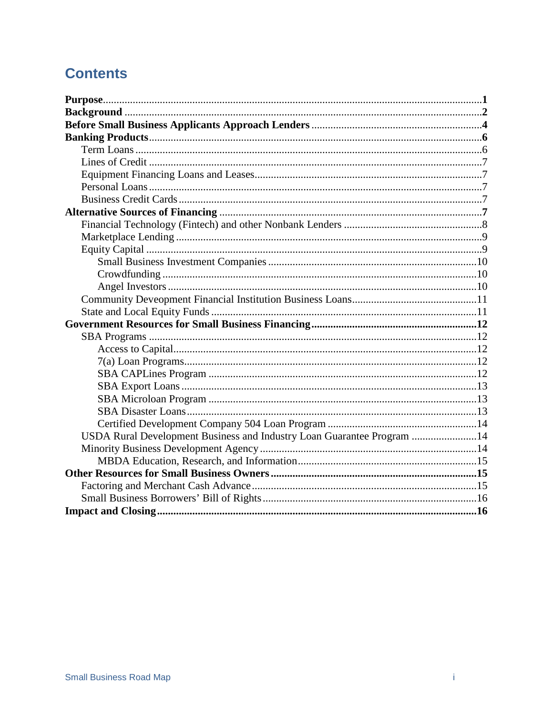## **Contents**

| USDA Rural Development Business and Industry Loan Guarantee Program 14 |  |
|------------------------------------------------------------------------|--|
|                                                                        |  |
|                                                                        |  |
|                                                                        |  |
|                                                                        |  |
|                                                                        |  |
|                                                                        |  |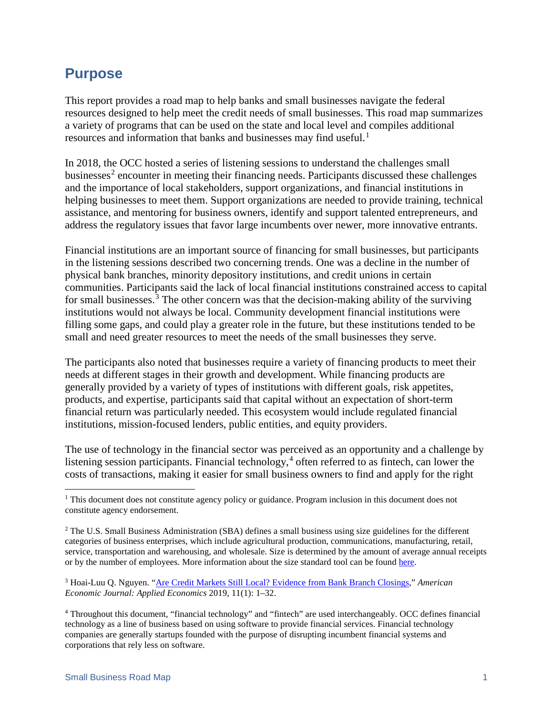## <span id="page-2-0"></span>**Purpose**

This report provides a road map to help banks and small businesses navigate the federal resources designed to help meet the credit needs of small businesses. This road map summarizes a variety of programs that can be used on the state and local level and compiles additional resources and information that banks and businesses may find useful.<sup>[1](#page-2-1)</sup>

In 2018, the OCC hosted a series of listening sessions to understand the challenges small businesses<sup>[2](#page-2-2)</sup> encounter in meeting their financing needs. Participants discussed these challenges and the importance of local stakeholders, support organizations, and financial institutions in helping businesses to meet them. Support organizations are needed to provide training, technical assistance, and mentoring for business owners, identify and support talented entrepreneurs, and address the regulatory issues that favor large incumbents over newer, more innovative entrants.

Financial institutions are an important source of financing for small businesses, but participants in the listening sessions described two concerning trends. One was a decline in the number of physical bank branches, minority depository institutions, and credit unions in certain communities. Participants said the lack of local financial institutions constrained access to capital for small businesses. [3](#page-2-3) The other concern was that the decision-making ability of the surviving institutions would not always be local. Community development financial institutions were filling some gaps, and could play a greater role in the future, but these institutions tended to be small and need greater resources to meet the needs of the small businesses they serve.

The participants also noted that businesses require a variety of financing products to meet their needs at different stages in their growth and development. While financing products are generally provided by a variety of types of institutions with different goals, risk appetites, products, and expertise, participants said that capital without an expectation of short-term financial return was particularly needed. This ecosystem would include regulated financial institutions, mission-focused lenders, public entities, and equity providers.

The use of technology in the financial sector was perceived as an opportunity and a challenge by listening session participants. Financial technology, [4](#page-2-4) often referred to as fintech, can lower the costs of transactions, making it easier for small business owners to find and apply for the right

<span id="page-2-1"></span><sup>&</sup>lt;sup>1</sup> This document does not constitute agency policy or guidance. Program inclusion in this document does not constitute agency endorsement.

<span id="page-2-2"></span><sup>&</sup>lt;sup>2</sup> The U.S. Small Business Administration (SBA) defines a small business using size guidelines for the different categories of business enterprises, which include agricultural production, communications, manufacturing, retail, service, transportation and warehousing, and wholesale. Size is determined by the amount of average annual receipts or by the number of employees. More information about the size standard tool can be foun[d here.](https://www.sba.gov/size-standards/)

<span id="page-2-3"></span><sup>3</sup> Hoai-Luu Q. Nguyen. ["Are Credit Markets Still Local? Evidence from Bank Branch Closings,](https://www.aeaweb.org/articles?id=10.1257/app.20170543)" *American Economic Journal: Applied Economics* 2019, 11(1): 1–32.

<span id="page-2-4"></span><sup>4</sup> Throughout this document, "financial technology" and "fintech" are used interchangeably. OCC defines financial technology as a line of business based on using software to provide financial services. Financial technology companies are generally startups founded with the purpose of disrupting incumbent financial systems and corporations that rely less on software.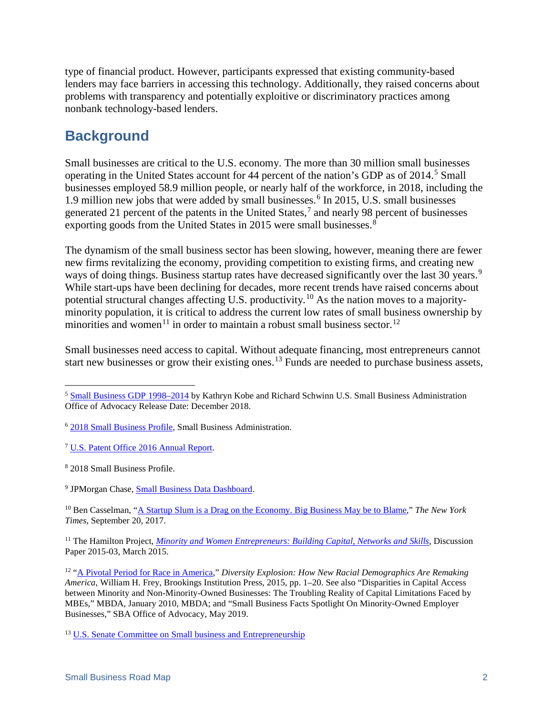type of financial product. However, participants expressed that existing community-based lenders may face barriers in accessing this technology. Additionally, they raised concerns about problems with transparency and potentially exploitive or discriminatory practices among nonbank technology-based lenders.

## **Background**

Small businesses are critical to the U.S. economy. The more than 30 million small businesses operating in the United States account for 44 percent of the nation's GDP as of 2014. [5](#page-3-0) Small businesses employed 58.9 million people, or nearly half of the workforce, in 2018, including the 1.9 million new jobs that were added by small businesses. [6](#page-3-1) In 2015, U.S. small businesses generated 21 percent of the patents in the United States,<sup>[7](#page-3-2)</sup> and nearly 98 percent of businesses exporting goods from the United States in 2015 were small businesses.<sup>[8](#page-3-3)</sup>

The dynamism of the small business sector has been slowing, however, meaning there are fewer new firms revitalizing the economy, providing competition to existing firms, and creating new ways of doing things. Business startup rates have decreased significantly over the last 30 years.<sup>[9](#page-3-4)</sup> While start-ups have been declining for decades, more recent trends have raised concerns about potential structural changes affecting U.S. productivity.<sup>[10](#page-3-5)</sup> As the nation moves to a majorityminority population, it is critical to address the current low rates of small business ownership by minorities and women<sup>[11](#page-3-6)</sup> in order to maintain a robust small business sector.<sup>[12](#page-3-7)</sup>

Small businesses need access to capital. Without adequate financing, most entrepreneurs cannot start new businesses or grow their existing ones.<sup>[13](#page-3-8)</sup> Funds are needed to purchase business assets,

<span id="page-3-5"></span><sup>10</sup> Ben Casselman, ["A Startup Slum is a Drag on the Economy. Big Business May be to Blame,"](https://www.nytimes.com/2017/09/20/business/economy/startup-business.html) *The New York Times,* September 20, 2017.

<span id="page-3-6"></span><sup>11</sup> The Hamilton Project, *[Minority and Women Entrepreneurs: Building Capital, Networks and Skills](https://www.brookings.edu/wp-content/uploads/2016/07/minority_women_entrepreneurs_building_skills_barr.pdf)*, Discussion Paper 2015-03, March 2015.

<span id="page-3-7"></span><sup>12</sup> ["A Pivotal Period for Race in America,](https://www.jstor.org/stable/10.7864/j.ctt6wpc40?turn_away=true)" *Diversity Explosion: How New Racial Demographics Are Remaking America*, William H. Frey, Brookings Institution Press, 2015, pp. 1–20. See also "Disparities in Capital Access between Minority and Non-Minority-Owned Businesses: The Troubling Reality of Capital Limitations Faced by MBEs," MBDA, January 2010, MBDA; and "Small Business Facts Spotlight On Minority-Owned Employer Businesses," SBA Office of Advocacy, May 2019.

<span id="page-3-8"></span><sup>13</sup> [U.S. Senate Committee on Small business and Entrepreneurship](https://www.sbc.senate.gov/public/index.cfm/accesstocapital)

<span id="page-3-0"></span> <sup>5</sup> [Small Business GDP 1998–2014](https://advocacy.sba.gov/2018/12/19/advocacy-releases-small-business-gdp-1998-2014/) by Kathryn Kobe and Richard Schwinn U.S. Small Business Administration Office of Advocacy Release Date: December 2018.

<span id="page-3-1"></span><sup>6</sup> [2018 Small Business Profile,](https://www.sba.gov/sites/default/files/advocacy/2018-Small-Business-Profiles-US.pdf) Small Business Administration.

<span id="page-3-2"></span><sup>7</sup> [U.S. Patent Office 2016 Annual Report.](https://www.uspto.gov/sites/default/files/documents/USPTOFY16PAR.pdf)

<span id="page-3-3"></span><sup>8</sup> 2018 Small Business Profile.

<span id="page-3-4"></span><sup>9</sup> JPMorgan Chase, [Small Business Data Dashboard.](https://www.jpmorganchase.com/corporate/institute/small-business-economic.htm)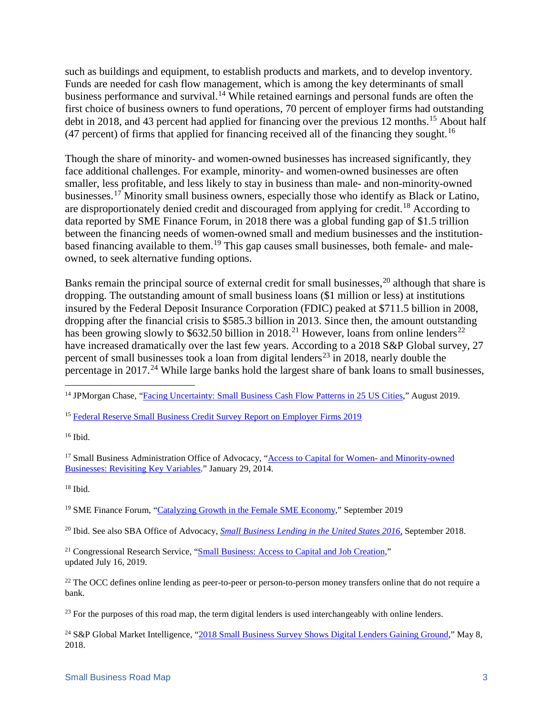such as buildings and equipment, to establish products and markets, and to develop inventory. Funds are needed for cash flow management, which is among the key determinants of small business performance and survival.<sup>[14](#page-4-0)</sup> While retained earnings and personal funds are often the first choice of business owners to fund operations, 70 percent of employer firms had outstanding debt in 2018, and 43 percent had applied for financing over the previous 12 months.<sup>[15](#page-4-1)</sup> About half (47 percent) of firms that applied for financing received all of the financing they sought.<sup>[16](#page-4-2)</sup>

Though the share of minority- and women-owned businesses has increased significantly, they face additional challenges. For example, minority- and women-owned businesses are often smaller, less profitable, and less likely to stay in business than male- and non-minority-owned businesses.[17](#page-4-3) Minority small business owners, especially those who identify as Black or Latino, are disproportionately denied credit and discouraged from applying for credit.<sup>[18](#page-4-4)</sup> According to data reported by SME Finance Forum, in 2018 there was a global funding gap of \$1.5 trillion between the financing needs of women-owned small and medium businesses and the institution-based financing available to them.<sup>[19](#page-4-5)</sup> This gap causes small businesses, both female- and maleowned, to seek alternative funding options.

Banks remain the principal source of external credit for small businesses,<sup>[20](#page-4-6)</sup> although that share is dropping. The outstanding amount of small business loans (\$1 million or less) at institutions insured by the Federal Deposit Insurance Corporation (FDIC) peaked at \$711.5 billion in 2008, dropping after the financial crisis to \$585.3 billion in 2013. Since then, the amount outstanding has been growing slowly to \$632.50 billion in 2018.<sup>[21](#page-4-7)</sup> However, loans from online lenders<sup>[22](#page-4-8)</sup> have increased dramatically over the last few years. According to a 2018 S&P Global survey, 27 percent of small businesses took a loan from digital lenders<sup>[23](#page-4-9)</sup> in 2018, nearly double the percentage in 2017.<sup>[24](#page-4-10)</sup> While large banks hold the largest share of bank loans to small businesses,

<span id="page-4-3"></span><sup>17</sup> Small Business Administration Office of Advocacy, ["Access to Capital for Women-](https://www.sba.gov/sites/default/files/Issue%20Brief%203%20Access%20to%20Capital.pdf) and Minority-owned [Businesses: Revisiting Key Variables."](https://www.sba.gov/sites/default/files/Issue%20Brief%203%20Access%20to%20Capital.pdf) January 29, 2014.

<span id="page-4-4"></span> $18$  Ibid.

<span id="page-4-5"></span><sup>19</sup> SME Finance Forum, ["Catalyzing Growth in the Female SME Economy,"](https://www.smefinanceforum.org/post/blog-catalyzing-growth-in-the-female-sme-economy) September 2019

<span id="page-4-6"></span><sup>20</sup> Ibid. See also SBA Office of Advocacy, *[Small Business Lending in the United States 2016](https://cdn.advocacy.sba.gov/wp-content/uploads/2019/04/24110545/Small-Business-Lending-in-US-2016-Report.pdf)*, September 2018.

<span id="page-4-7"></span><sup>21</sup> Congressional Research Service, ["Small Business: Access to Capital and Job Creation,](https://fas.org/sgp/crs/misc/R40985.pdf)" updated July 16, 2019.

<span id="page-4-8"></span> $^{22}$  The OCC defines online lending as peer-to-peer or person-to-person money transfers online that do not require a bank.

<span id="page-4-9"></span><sup>23</sup> For the purposes of this road map, the term digital lenders is used interchangeably with online lenders.

<span id="page-4-10"></span><sup>24</sup> S&P Global Market Intelligence, ["2018 Small Business Survey Shows Digital Lenders Gaining Ground,](https://www.spglobal.com/marketintelligence/en/news-insights/trending/3n1hu3xio8da7t-g1cr5yq2)" May 8, 2018.

<span id="page-4-0"></span><sup>&</sup>lt;sup>14</sup> JPMorgan Chase, ["Facing Uncertainty: Small Business Cash Flow Patterns in 25 US Cities,"](https://papers.ssrn.com/sol3/papers.cfm?abstract_id=3448575) August 2019.

<span id="page-4-1"></span><sup>&</sup>lt;sup>15</sup> [Federal Reserve Small Business Credit Survey Report on Employer Firms 2019](https://www.fedsmallbusiness.org/medialibrary/fedsmallbusiness/files/2019/sbcs-employer-firms-report.pdf)

<span id="page-4-2"></span><sup>16</sup> Ibid.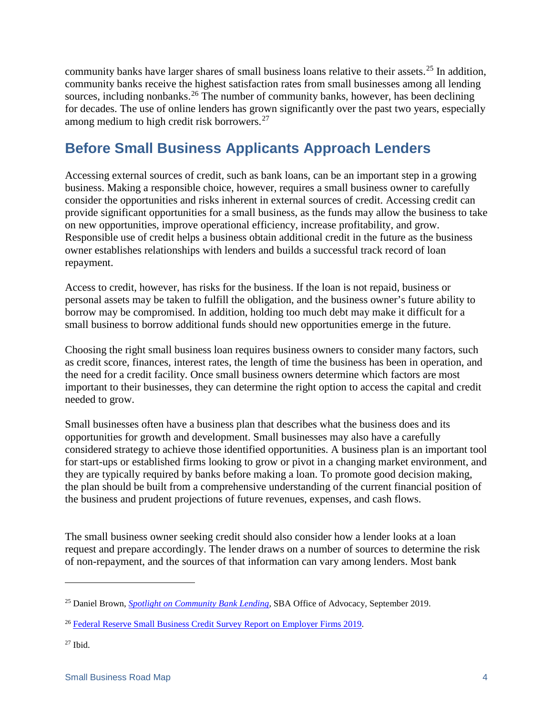community banks have larger shares of small business loans relative to their assets.[25](#page-5-1) In addition, community banks receive the highest satisfaction rates from small businesses among all lending sources, including nonbanks.<sup>[26](#page-5-2)</sup> The number of community banks, however, has been declining for decades. The use of online lenders has grown significantly over the past two years, especially among medium to high credit risk borrowers.<sup>[27](#page-5-3)</sup>

## <span id="page-5-0"></span>**Before Small Business Applicants Approach Lenders**

Accessing external sources of credit, such as bank loans, can be an important step in a growing business. Making a responsible choice, however, requires a small business owner to carefully consider the opportunities and risks inherent in external sources of credit. Accessing credit can provide significant opportunities for a small business, as the funds may allow the business to take on new opportunities, improve operational efficiency, increase profitability, and grow. Responsible use of credit helps a business obtain additional credit in the future as the business owner establishes relationships with lenders and builds a successful track record of loan repayment.

Access to credit, however, has risks for the business. If the loan is not repaid, business or personal assets may be taken to fulfill the obligation, and the business owner's future ability to borrow may be compromised. In addition, holding too much debt may make it difficult for a small business to borrow additional funds should new opportunities emerge in the future.

Choosing the right small business loan requires business owners to consider many factors, such as credit score, finances, interest rates, the length of time the business has been in operation, and the need for a credit facility. Once small business owners determine which factors are most important to their businesses, they can determine the right option to access the capital and credit needed to grow.

Small businesses often have a business plan that describes what the business does and its opportunities for growth and development. Small businesses may also have a carefully considered strategy to achieve those identified opportunities. A business plan is an important tool for start-ups or established firms looking to grow or pivot in a changing market environment, and they are typically required by banks before making a loan. To promote good decision making, the plan should be built from a comprehensive understanding of the current financial position of the business and prudent projections of future revenues, expenses, and cash flows.

The small business owner seeking credit should also consider how a lender looks at a loan request and prepare accordingly. The lender draws on a number of sources to determine the risk of non-repayment, and the sources of that information can vary among lenders. Most bank

 $\overline{a}$ 

<span id="page-5-1"></span><sup>25</sup> Daniel Brown, *[Spotlight on Community Bank Lending](https://cdn.advocacy.sba.gov/wp-content/uploads/2019/09/25164013/Fact-Sheet-Community-Bank-Lending.pdf)*, SBA Office of Advocacy, September 2019.

<span id="page-5-2"></span><sup>26</sup> [Federal Reserve Small Business Credit Survey Report on](https://www.fedsmallbusiness.org/medialibrary/fedsmallbusiness/files/2019/sbcs-employer-firms-report.pdf) Employer Firms 2019.

<span id="page-5-3"></span> $27$  Ibid.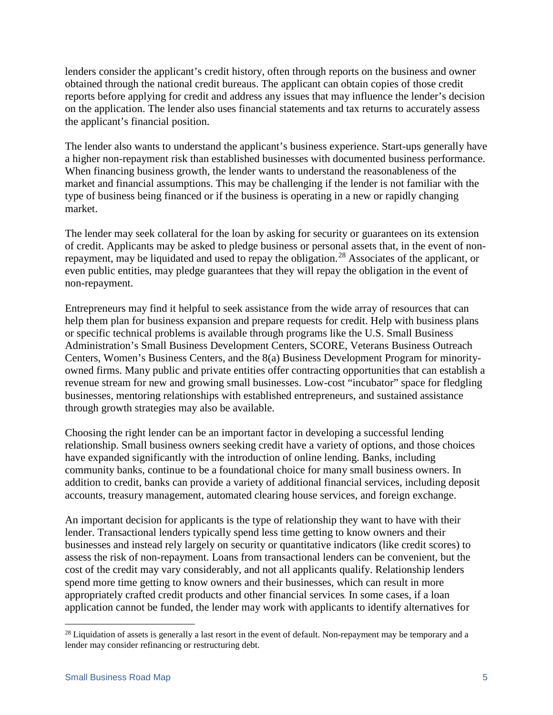lenders consider the applicant's credit history, often through reports on the business and owner obtained through the national credit bureaus. The applicant can obtain copies of those credit reports before applying for credit and address any issues that may influence the lender's decision on the application. The lender also uses financial statements and tax returns to accurately assess the applicant's financial position.

The lender also wants to understand the applicant's business experience. Start-ups generally have a higher non-repayment risk than established businesses with documented business performance. When financing business growth, the lender wants to understand the reasonableness of the market and financial assumptions. This may be challenging if the lender is not familiar with the type of business being financed or if the business is operating in a new or rapidly changing market.

The lender may seek collateral for the loan by asking for security or guarantees on its extension of credit. Applicants may be asked to pledge business or personal assets that, in the event of nonrepayment, may be liquidated and used to repay the obligation.[28](#page-6-0) Associates of the applicant, or even public entities, may pledge guarantees that they will repay the obligation in the event of non-repayment.

Entrepreneurs may find it helpful to seek assistance from the wide array of resources that can help them plan for business expansion and prepare requests for credit. Help with business plans or specific technical problems is available through programs like the U.S. Small Business Administration's Small Business Development Centers, SCORE, Veterans Business Outreach Centers, Women's Business Centers, and the 8(a) Business Development Program for minorityowned firms. Many public and private entities offer contracting opportunities that can establish a revenue stream for new and growing small businesses. Low-cost "incubator" space for fledgling businesses, mentoring relationships with established entrepreneurs, and sustained assistance through growth strategies may also be available.

Choosing the right lender can be an important factor in developing a successful lending relationship. Small business owners seeking credit have a variety of options, and those choices have expanded significantly with the introduction of online lending. Banks, including community banks, continue to be a foundational choice for many small business owners. In addition to credit, banks can provide a variety of additional financial services, including deposit accounts, treasury management, automated clearing house services, and foreign exchange.

An important decision for applicants is the type of relationship they want to have with their lender. Transactional lenders typically spend less time getting to know owners and their businesses and instead rely largely on security or quantitative indicators (like credit scores) to assess the risk of non-repayment. Loans from transactional lenders can be convenient, but the cost of the credit may vary considerably, and not all applicants qualify. Relationship lenders spend more time getting to know owners and their businesses, which can result in more appropriately crafted credit products and other financial services. In some cases, if a loan application cannot be funded, the lender may work with applicants to identify alternatives for

<span id="page-6-0"></span><sup>&</sup>lt;sup>28</sup> Liquidation of assets is generally a last resort in the event of default. Non-repayment may be temporary and a lender may consider refinancing or restructuring debt.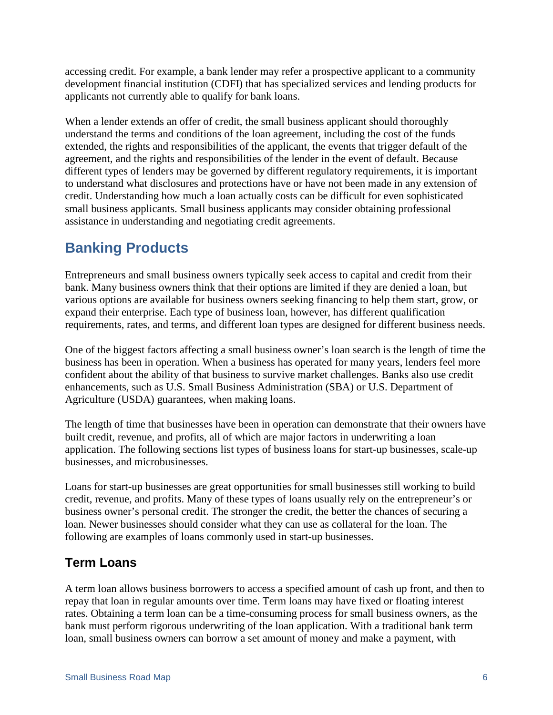accessing credit. For example, a bank lender may refer a prospective applicant to a community development financial institution (CDFI) that has specialized services and lending products for applicants not currently able to qualify for bank loans.

When a lender extends an offer of credit, the small business applicant should thoroughly understand the terms and conditions of the loan agreement, including the cost of the funds extended, the rights and responsibilities of the applicant, the events that trigger default of the agreement, and the rights and responsibilities of the lender in the event of default. Because different types of lenders may be governed by different regulatory requirements, it is important to understand what disclosures and protections have or have not been made in any extension of credit. Understanding how much a loan actually costs can be difficult for even sophisticated small business applicants. Small business applicants may consider obtaining professional assistance in understanding and negotiating credit agreements.

## <span id="page-7-0"></span>**Banking Products**

Entrepreneurs and small business owners typically seek access to capital and credit from their bank. Many business owners think that their options are limited if they are denied a loan, but various options are available for business owners seeking financing to help them start, grow, or expand their enterprise. Each type of business loan, however, has different qualification requirements, rates, and terms, and different loan types are designed for different business needs.

One of the biggest factors affecting a small business owner's loan search is the length of time the business has been in operation. When a business has operated for many years, lenders feel more confident about the ability of that business to survive market challenges. Banks also use credit enhancements, such as U.S. Small Business Administration (SBA) or U.S. Department of Agriculture (USDA) guarantees, when making loans.

The length of time that businesses have been in operation can demonstrate that their owners have built credit, revenue, and profits, all of which are major factors in underwriting a loan application. The following sections list types of business loans for start-up businesses, scale-up businesses, and microbusinesses.

Loans for start-up businesses are great opportunities for small businesses still working to build credit, revenue, and profits. Many of these types of loans usually rely on the entrepreneur's or business owner's personal credit. The stronger the credit, the better the chances of securing a loan. Newer businesses should consider what they can use as collateral for the loan. The following are examples of loans commonly used in start-up businesses.

## <span id="page-7-1"></span>**Term Loans**

A term loan allows business borrowers to access a specified amount of cash up front, and then to repay that loan in regular amounts over time. Term loans may have fixed or floating interest rates. Obtaining a term loan can be a time-consuming process for small business owners, as the bank must perform rigorous underwriting of the loan application. With a traditional bank term loan, small business owners can borrow a set amount of money and make a payment, with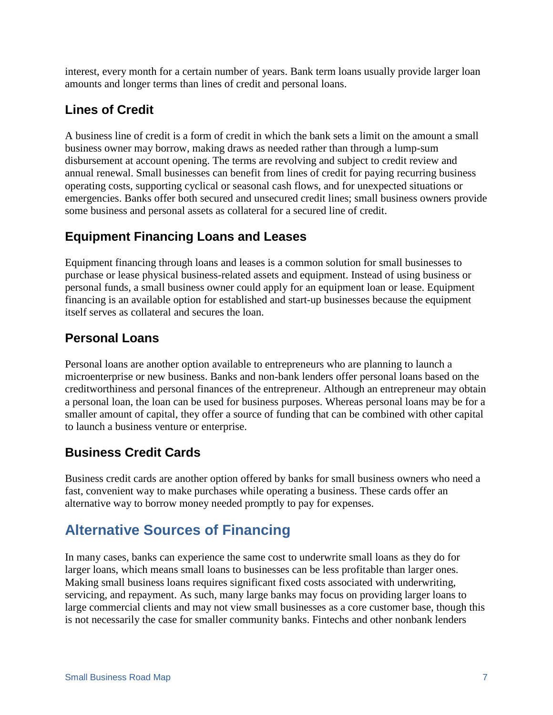interest, every month for a certain number of years. Bank term loans usually provide larger loan amounts and longer terms than lines of credit and personal loans.

## <span id="page-8-0"></span>**Lines of Credit**

A business line of credit is a form of credit in which the bank sets a limit on the amount a small business owner may borrow, making draws as needed rather than through a lump-sum disbursement at account opening. The terms are revolving and subject to credit review and annual renewal. Small businesses can benefit from lines of credit for paying recurring business operating costs, supporting cyclical or seasonal cash flows, and for unexpected situations or emergencies. Banks offer both secured and unsecured credit lines; small business owners provide some business and personal assets as collateral for a secured line of credit.

## <span id="page-8-1"></span>**Equipment Financing Loans and Leases**

Equipment financing through loans and leases is a common solution for small businesses to purchase or lease physical business-related assets and equipment. Instead of using business or personal funds, a small business owner could apply for an equipment loan or lease. Equipment financing is an available option for established and start-up businesses because the equipment itself serves as collateral and secures the loan.

## <span id="page-8-2"></span>**Personal Loans**

Personal loans are another option available to entrepreneurs who are planning to launch a microenterprise or new business. Banks and non-bank lenders offer personal loans based on the creditworthiness and personal finances of the entrepreneur. Although an entrepreneur may obtain a personal loan, the loan can be used for business purposes. Whereas personal loans may be for a smaller amount of capital, they offer a source of funding that can be combined with other capital to launch a business venture or enterprise.

## <span id="page-8-3"></span>**Business Credit Cards**

Business credit cards are another option offered by banks for small business owners who need a fast, convenient way to make purchases while operating a business. These cards offer an alternative way to borrow money needed promptly to pay for expenses.

## <span id="page-8-4"></span>**Alternative Sources of Financing**

In many cases, banks can experience the same cost to underwrite small loans as they do for larger loans, which means small loans to businesses can be less profitable than larger ones. Making small business loans requires significant fixed costs associated with underwriting, servicing, and repayment. As such, many large banks may focus on providing larger loans to large commercial clients and may not view small businesses as a core customer base, though this is not necessarily the case for smaller community banks. Fintechs and other nonbank lenders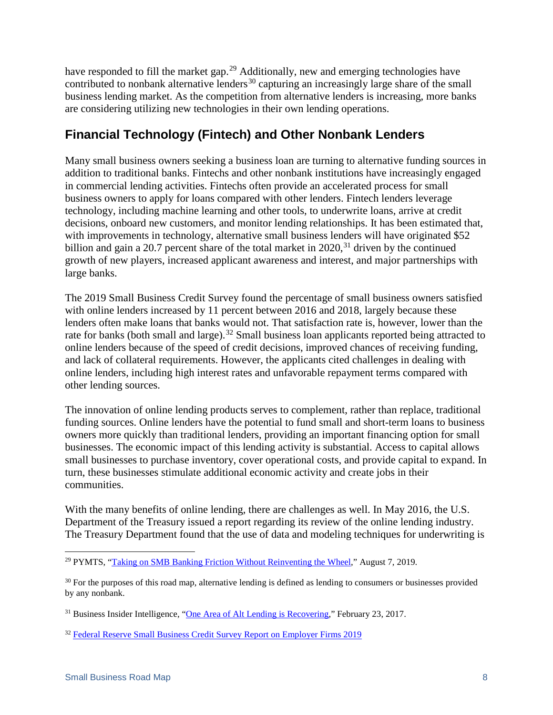have responded to fill the market gap.<sup>[29](#page-9-1)</sup> Additionally, new and emerging technologies have contributed to nonbank alternative lenders<sup>[30](#page-9-2)</sup> capturing an increasingly large share of the small business lending market. As the competition from alternative lenders is increasing, more banks are considering utilizing new technologies in their own lending operations.

### <span id="page-9-0"></span>**Financial Technology (Fintech) and Other Nonbank Lenders**

Many small business owners seeking a business loan are turning to alternative funding sources in addition to traditional banks. Fintechs and other nonbank institutions have increasingly engaged in commercial lending activities. Fintechs often provide an accelerated process for small business owners to apply for loans compared with other lenders. Fintech lenders leverage technology, including machine learning and other tools, to underwrite loans, arrive at credit decisions, onboard new customers, and monitor lending relationships. It has been estimated that, with improvements in technology, alternative small business lenders will have originated \$52 billion and gain a 20.7 percent share of the total market in  $2020$ ,  $31$  driven by the continued growth of new players, increased applicant awareness and interest, and major partnerships with large banks.

The 2019 Small Business Credit Survey found the percentage of small business owners satisfied with online lenders increased by 11 percent between 2016 and 2018, largely because these lenders often make loans that banks would not. That satisfaction rate is, however, lower than the rate for banks (both small and large).<sup>[32](#page-9-4)</sup> Small business loan applicants reported being attracted to online lenders because of the speed of credit decisions, improved chances of receiving funding, and lack of collateral requirements. However, the applicants cited challenges in dealing with online lenders, including high interest rates and unfavorable repayment terms compared with other lending sources.

The innovation of online lending products serves to complement, rather than replace, traditional funding sources. Online lenders have the potential to fund small and short-term loans to business owners more quickly than traditional lenders, providing an important financing option for small businesses. The economic impact of this lending activity is substantial. Access to capital allows small businesses to purchase inventory, cover operational costs, and provide capital to expand. In turn, these businesses stimulate additional economic activity and create jobs in their communities.

With the many benefits of online lending, there are challenges as well. In May 2016, the U.S. Department of the Treasury issued a report regarding its review of the online lending industry. The Treasury Department found that the use of data and modeling techniques for underwriting is

<span id="page-9-1"></span> <sup>29</sup> PYMTS, ["Taking on SMB Banking Friction Without Reinventing the Wheel,](https://www.pymnts.com/news/b2b-payments/2019/wise-small-business-banking-baas/)" August 7, 2019.

<span id="page-9-2"></span><sup>&</sup>lt;sup>30</sup> For the purposes of this road map, alternative lending is defined as lending to consumers or businesses provided by any nonbank.

<span id="page-9-3"></span><sup>31</sup> Business Insider Intelligence, ["One Area of Alt Lending is](https://www.businessinsider.com/one-area-of-us-alt-lending-is-recovering-2017-2) Recovering," February 23, 2017.

<span id="page-9-4"></span><sup>&</sup>lt;sup>32</sup> [Federal Reserve Small Business Credit Survey Report on Employer Firms 2019](https://www.fedsmallbusiness.org/medialibrary/fedsmallbusiness/files/2019/sbcs-employer-firms-report.pdf)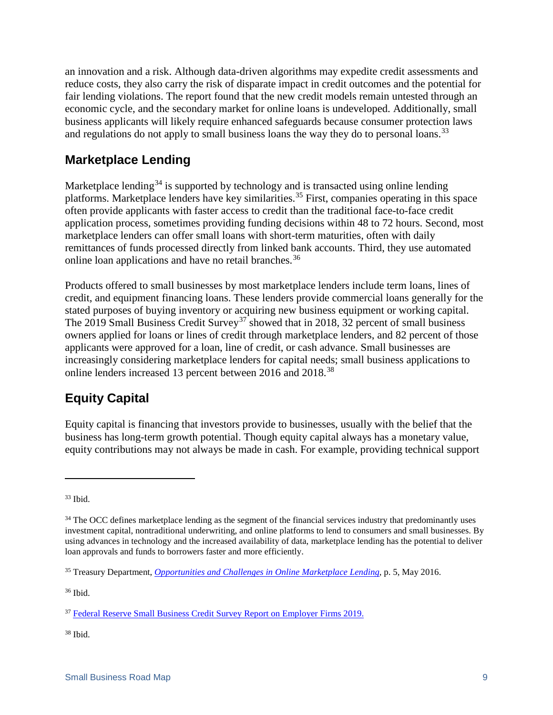an innovation and a risk. Although data-driven algorithms may expedite credit assessments and reduce costs, they also carry the risk of disparate impact in credit outcomes and the potential for fair lending violations. The report found that the new credit models remain untested through an economic cycle, and the secondary market for online loans is undeveloped. Additionally, small business applicants will likely require enhanced safeguards because consumer protection laws and regulations do not apply to small business loans the way they do to personal loans.<sup>[33](#page-10-2)</sup>

### <span id="page-10-0"></span>**Marketplace Lending**

Marketplace lending<sup>[34](#page-10-3)</sup> is supported by technology and is transacted using online lending platforms. Marketplace lenders have key similarities.[35](#page-10-4) First, companies operating in this space often provide applicants with faster access to credit than the traditional face-to-face credit application process, sometimes providing funding decisions within 48 to 72 hours. Second, most marketplace lenders can offer small loans with short-term maturities, often with daily remittances of funds processed directly from linked bank accounts. Third, they use automated online loan applications and have no retail branches.<sup>[36](#page-10-5)</sup>

Products offered to small businesses by most marketplace lenders include term loans, lines of credit, and equipment financing loans. These lenders provide commercial loans generally for the stated purposes of buying inventory or acquiring new business equipment or working capital. The 2019 Small Business Credit Survey<sup>[37](#page-10-6)</sup> showed that in 2018, 32 percent of small business owners applied for loans or lines of credit through marketplace lenders, and 82 percent of those applicants were approved for a loan, line of credit, or cash advance. Small businesses are increasingly considering marketplace lenders for capital needs; small business applications to online lenders increased 13 percent between 2016 and 2018.<sup>[38](#page-10-7)</sup>

## <span id="page-10-1"></span>**Equity Capital**

Equity capital is financing that investors provide to businesses, usually with the belief that the business has long-term growth potential. Though equity capital always has a monetary value, equity contributions may not always be made in cash. For example, providing technical support

 $\overline{a}$ 

<span id="page-10-7"></span><sup>38</sup> Ibid.

<span id="page-10-2"></span><sup>33</sup> Ibid.

<span id="page-10-3"></span><sup>&</sup>lt;sup>34</sup> The OCC defines marketplace lending as the segment of the financial services industry that predominantly uses investment capital, nontraditional underwriting, and online platforms to lend to consumers and small businesses. By using advances in technology and the increased availability of data, marketplace lending has the potential to deliver loan approvals and funds to borrowers faster and more efficiently.

<span id="page-10-4"></span><sup>35</sup> Treasury Department, *[Opportunities and Challenges in Online Marketplace Lending](https://www.treasury.gov/connect/blog/Pages/Opportunities-and-Challenges-in-Online-Marketplace-Lending.aspx)*, p. 5, May 2016.

<span id="page-10-5"></span><sup>36</sup> Ibid.

<span id="page-10-6"></span><sup>&</sup>lt;sup>37</sup> [Federal Reserve Small Business Credit Survey Report on Employer Firms 2019.](https://www.fedsmallbusiness.org/medialibrary/fedsmallbusiness/files/2019/sbcs-employer-firms-report.pdf)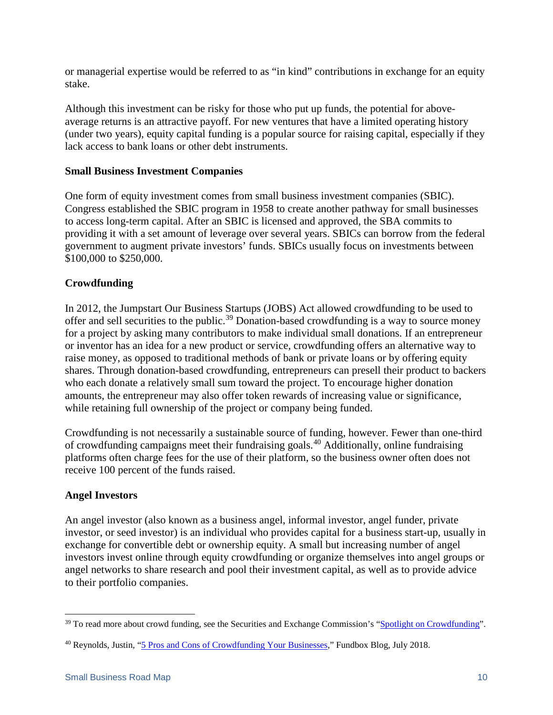or managerial expertise would be referred to as "in kind" contributions in exchange for an equity stake.

Although this investment can be risky for those who put up funds, the potential for aboveaverage returns is an attractive payoff. For new ventures that have a limited operating history (under two years), equity capital funding is a popular source for raising capital, especially if they lack access to bank loans or other debt instruments.

#### <span id="page-11-0"></span>**Small Business Investment Companies**

One form of equity investment comes from small business investment companies (SBIC). Congress established the SBIC program in 1958 to create another pathway for small businesses to access long-term capital. After an SBIC is licensed and approved, the SBA commits to providing it with a set amount of leverage over several years. SBICs can borrow from the federal government to augment private investors' funds. SBICs usually focus on investments between \$100,000 to \$250,000.

#### <span id="page-11-1"></span>**Crowdfunding**

In 2012, the Jumpstart Our Business Startups (JOBS) Act allowed crowdfunding to be used to offer and sell securities to the public.<sup>[39](#page-11-3)</sup> Donation-based crowdfunding is a way to source money for a project by asking many contributors to make individual small donations. If an entrepreneur or inventor has an idea for a new product or service, crowdfunding offers an alternative way to raise money, as opposed to traditional methods of bank or private loans or by offering equity shares. Through donation-based crowdfunding, entrepreneurs can presell their product to backers who each donate a relatively small sum toward the project. To encourage higher donation amounts, the entrepreneur may also offer token rewards of increasing value or significance, while retaining full ownership of the project or company being funded.

Crowdfunding is not necessarily a sustainable source of funding, however. Fewer than one-third of crowdfunding campaigns meet their fundraising goals.[40](#page-11-4) Additionally, online fundraising platforms often charge fees for the use of their platform, so the business owner often does not receive 100 percent of the funds raised.

#### <span id="page-11-2"></span>**Angel Investors**

An angel investor (also known as a business angel, informal investor, angel funder, private investor, or seed investor) is an individual who provides capital for a business start-up, usually in exchange for convertible debt or ownership equity. A small but increasing number of angel investors invest online through equity crowdfunding or organize themselves into angel groups or angel networks to share research and pool their investment capital, as well as to provide advice to their portfolio companies.

<span id="page-11-3"></span><sup>&</sup>lt;sup>39</sup> To read more about crowd funding, see the Securities and Exchange Commission's ["Spotlight on Crowdfunding"](https://www.sec.gov/spotlight/crowdfunding.shtml).

<span id="page-11-4"></span><sup>40</sup> Reynolds, Justin, ["5 Pros and Cons of Crowdfunding Your Businesses,](https://fundbox.com/blog/5-pros-and-cons-of-crowdfunding-your-businesses/)" Fundbox Blog, July 2018.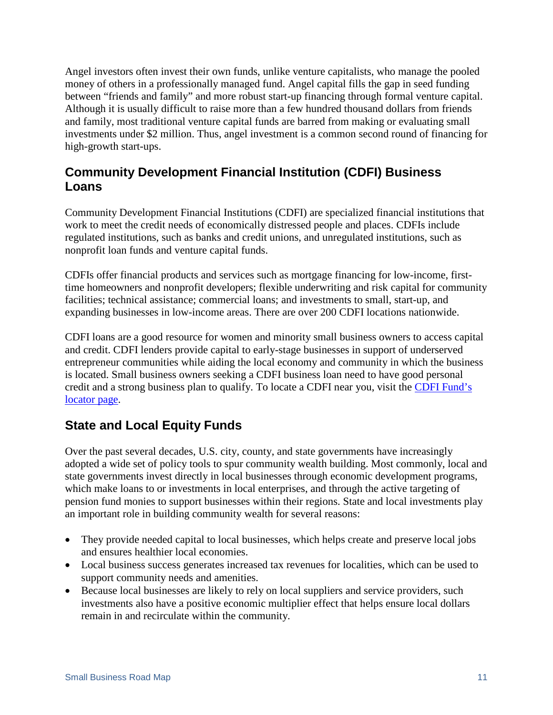Angel investors often invest their own funds, unlike venture capitalists, who manage the pooled money of others in a professionally managed fund. Angel capital fills the gap in seed funding between "friends and family" and more robust start-up financing through formal venture capital. Although it is usually difficult to raise more than a few hundred thousand dollars from friends and family, most traditional venture capital funds are barred from making or evaluating small investments under \$2 million. Thus, angel investment is a common second round of financing for high-growth start-ups.

### <span id="page-12-0"></span>**Community Development Financial Institution (CDFI) Business Loans**

Community Development Financial Institutions (CDFI) are specialized financial institutions that work to meet the credit needs of economically distressed people and places. CDFIs include regulated institutions, such as banks and credit unions, and unregulated institutions, such as nonprofit loan funds and venture capital funds.

CDFIs offer financial products and services such as mortgage financing for low-income, firsttime homeowners and nonprofit developers; flexible underwriting and risk capital for community facilities; technical assistance; commercial loans; and investments to small, start-up, and expanding businesses in low-income areas. There are over 200 CDFI locations nationwide.

CDFI loans are a good resource for women and minority small business owners to access capital and credit. CDFI lenders provide capital to early-stage businesses in support of underserved entrepreneur communities while aiding the local economy and community in which the business is located. Small business owners seeking a CDFI business loan need to have good personal credit and a strong business plan to qualify. To locate a CDFI near you, visit the CDFI Fund's [locator page.](https://ofn.org/cdfi-locator)

## <span id="page-12-1"></span>**State and Local Equity Funds**

Over the past several decades, U.S. city, county, and state governments have increasingly adopted a wide set of policy tools to spur community wealth building. Most commonly, local and state governments invest directly in local businesses through economic development programs, which make loans to or investments in local enterprises, and through the active targeting of pension fund monies to support businesses within their regions. State and local investments play an important role in building community wealth for several reasons:

- They provide needed capital to local businesses, which helps create and preserve local jobs and ensures healthier local economies.
- Local business success generates increased tax revenues for localities, which can be used to support community needs and amenities.
- Because local businesses are likely to rely on local suppliers and service providers, such investments also have a positive economic multiplier effect that helps ensure local dollars remain in and recirculate within the community.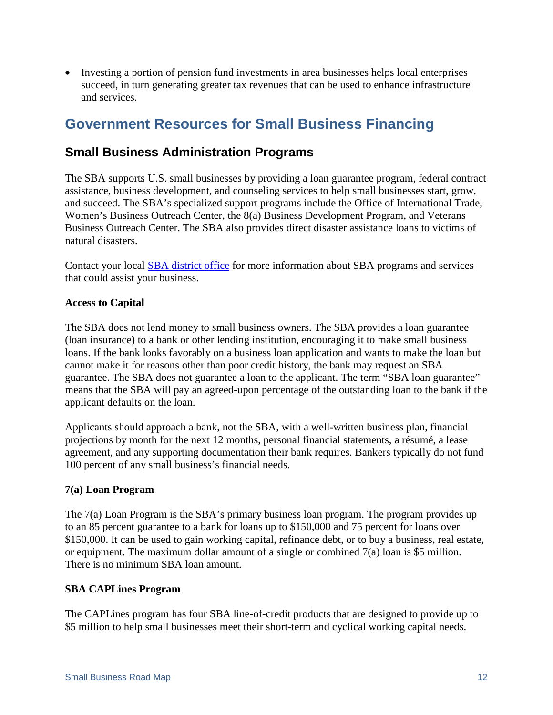• Investing a portion of pension fund investments in area businesses helps local enterprises succeed, in turn generating greater tax revenues that can be used to enhance infrastructure and services.

## <span id="page-13-0"></span>**Government Resources for Small Business Financing**

### <span id="page-13-1"></span>**Small Business Administration Programs**

The SBA supports U.S. small businesses by providing a loan guarantee program, federal contract assistance, business development, and counseling services to help small businesses start, grow, and succeed. The SBA's specialized support programs include the Office of International Trade, Women's Business Outreach Center, the 8(a) Business Development Program, and Veterans Business Outreach Center. The SBA also provides direct disaster assistance loans to victims of natural disasters.

Contact your local [SBA district office](https://www.sba.gov/tools/local-assistance/districtoffices) for more information about SBA programs and services that could assist your business.

#### <span id="page-13-2"></span>**Access to Capital**

The SBA does not lend money to small business owners. The SBA provides a loan guarantee (loan insurance) to a bank or other lending institution, encouraging it to make small business loans. If the bank looks favorably on a business loan application and wants to make the loan but cannot make it for reasons other than poor credit history, the bank may request an SBA guarantee. The SBA does not guarantee a loan to the applicant. The term "SBA loan guarantee" means that the SBA will pay an agreed-upon percentage of the outstanding loan to the bank if the applicant defaults on the loan.

Applicants should approach a bank, not the SBA, with a well-written business plan, financial projections by month for the next 12 months, personal financial statements, a résumé, a lease agreement, and any supporting documentation their bank requires. Bankers typically do not fund 100 percent of any small business's financial needs.

#### <span id="page-13-3"></span>**7(a) Loan Program**

The 7(a) Loan Program is the SBA's primary business loan program. The program provides up to an 85 percent guarantee to a bank for loans up to \$150,000 and 75 percent for loans over \$150,000. It can be used to gain working capital, refinance debt, or to buy a business, real estate, or equipment. The maximum dollar amount of a single or combined 7(a) loan is \$5 million. There is no minimum SBA loan amount.

#### <span id="page-13-4"></span>**SBA CAPLines Program**

The CAPLines program has four SBA line-of-credit products that are designed to provide up to \$5 million to help small businesses meet their short-term and cyclical working capital needs.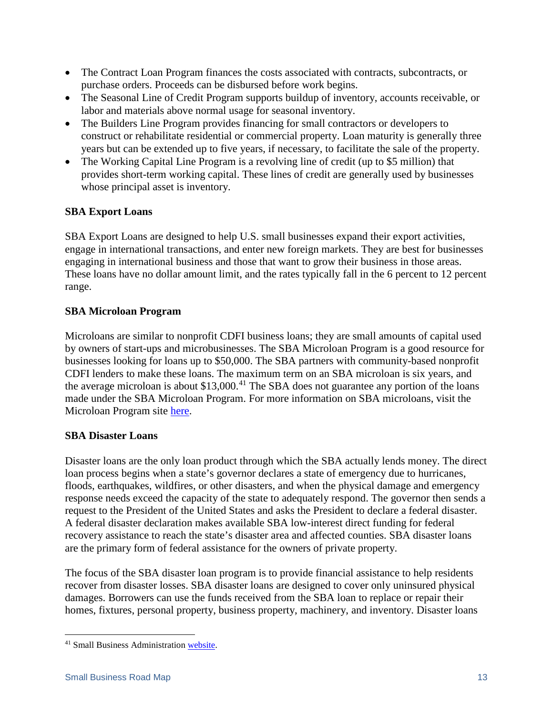- The Contract Loan Program finances the costs associated with contracts, subcontracts, or purchase orders. Proceeds can be disbursed before work begins.
- The Seasonal Line of Credit Program supports buildup of inventory, accounts receivable, or labor and materials above normal usage for seasonal inventory.
- The Builders Line Program provides financing for small contractors or developers to construct or rehabilitate residential or commercial property. Loan maturity is generally three years but can be extended up to five years, if necessary, to facilitate the sale of the property.
- The Working Capital Line Program is a revolving line of credit (up to \$5 million) that provides short-term working capital. These lines of credit are generally used by businesses whose principal asset is inventory.

#### <span id="page-14-0"></span>**SBA Export Loans**

SBA Export Loans are designed to help U.S. small businesses expand their export activities, engage in international transactions, and enter new foreign markets. They are best for businesses engaging in international business and those that want to grow their business in those areas. These loans have no dollar amount limit, and the rates typically fall in the 6 percent to 12 percent range.

#### <span id="page-14-1"></span>**SBA Microloan Program**

Microloans are similar to nonprofit CDFI business loans; they are small amounts of capital used by owners of start-ups and microbusinesses. The SBA Microloan Program is a good resource for businesses looking for loans up to \$50,000. The SBA partners with community-based nonprofit CDFI lenders to make these loans. The maximum term on an SBA microloan is six years, and the average microloan is about  $$13,000$ .<sup>[41](#page-14-3)</sup> The SBA does not guarantee any portion of the loans made under the SBA Microloan Program. For more information on SBA microloans, visit the Microloan Program site [here.](https://www.sba.gov/loans-grants/see-what-sba-offers/sba-loan-programs/microloan-program)

#### <span id="page-14-2"></span>**[SBA Disaster Loans](mailto:disastercustomerservice@sba.gov)**

Disaster loans are the only loan product through which the SBA actually lends money. The direct loan process begins when a state's governor declares a state of emergency due to hurricanes, floods, earthquakes, wildfires, or other disasters, and when the physical damage and emergency response needs exceed the capacity of the state to adequately respond. The governor then sends a request to the President of the United States and asks the President to declare a federal disaster. A federal disaster declaration makes available SBA low-interest direct funding for federal recovery assistance to reach the state's disaster area and affected counties. SBA disaster loans are the primary form of federal assistance for the owners of private property.

The focus of the SBA disaster loan program is to provide financial assistance to help residents recover from disaster losses. SBA disaster loans are designed to cover only uninsured physical damages. Borrowers can use the funds received from the SBA loan to replace or repair their homes, fixtures, personal property, business property, machinery, and inventory. Disaster loans

<span id="page-14-3"></span> <sup>41</sup> Small Business Administration [website.](https://www.sba.gov/loans-grants/see-what-sba-offers/sba-loan-programs/microloan-program)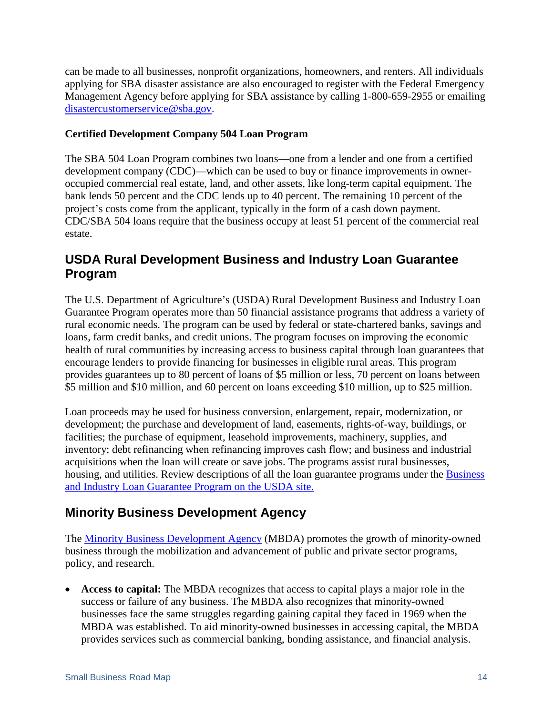can be made to all businesses, nonprofit organizations, homeowners, and renters. All individuals applying for SBA disaster assistance are also encouraged to register with the Federal Emergency Management Agency before applying for SBA assistance by calling 1-800-659-2955 or emailing [disastercustomerservice@sba.gov.](mailto:disastercustomerservice@sba.gov)

#### <span id="page-15-0"></span>**Certified Development Company 504 Loan Program**

The SBA 504 Loan Program combines two loans—one from a lender and one from a certified development company (CDC)—which can be used to buy or finance improvements in owneroccupied commercial real estate, land, and other assets, like long-term capital equipment. The bank lends 50 percent and the CDC lends up to 40 percent. The remaining 10 percent of the project's costs come from the applicant, typically in the form of a cash down payment. CDC/SBA 504 loans require that the business occupy at least 51 percent of the commercial real estate.

### <span id="page-15-1"></span>**USDA Rural Development Business and Industry Loan Guarantee Program**

The U.S. Department of Agriculture's (USDA) Rural Development Business and Industry Loan Guarantee Program operates more than 50 financial assistance programs that address a variety of rural economic needs. The program can be used by federal or state-chartered banks, savings and loans, farm credit banks, and credit unions. The program focuses on improving the economic health of rural communities by increasing access to business capital through loan guarantees that encourage lenders to provide financing for businesses in eligible rural areas. This program provides guarantees up to 80 percent of loans of \$5 million or less, 70 percent on loans between \$5 million and \$10 million, and 60 percent on loans exceeding \$10 million, up to \$25 million.

Loan proceeds may be used for business conversion, enlargement, repair, modernization, or development; the purchase and development of land, easements, rights-of-way, buildings, or facilities; the purchase of equipment, leasehold improvements, machinery, supplies, and inventory; debt refinancing when refinancing improves cash flow; and business and industrial acquisitions when the loan will create or save jobs. The programs assist rural businesses, housing, and utilities. Review descriptions of all the loan guarantee programs under the [Business](https://www.rd.usda.gov/programs-services/business-industry-loan-guarantees)  [and Industry Loan Guarantee Program](https://www.rd.usda.gov/programs-services/business-industry-loan-guarantees) on the USDA site.

### <span id="page-15-2"></span>**Minority Business Development Agency**

The [Minority Business Development Agency](https://www.mbda.gov/) (MBDA) promotes the growth of minority-owned business through the mobilization and advancement of public and private sector programs, policy, and research.

• **Access to capital:** The MBDA recognizes that access to capital plays a major role in the success or failure of any business. The MBDA also recognizes that minority-owned businesses face the same struggles regarding gaining capital they faced in 1969 when the MBDA was established. To aid minority-owned businesses in accessing capital, the MBDA provides services such as commercial banking, bonding assistance, and financial analysis.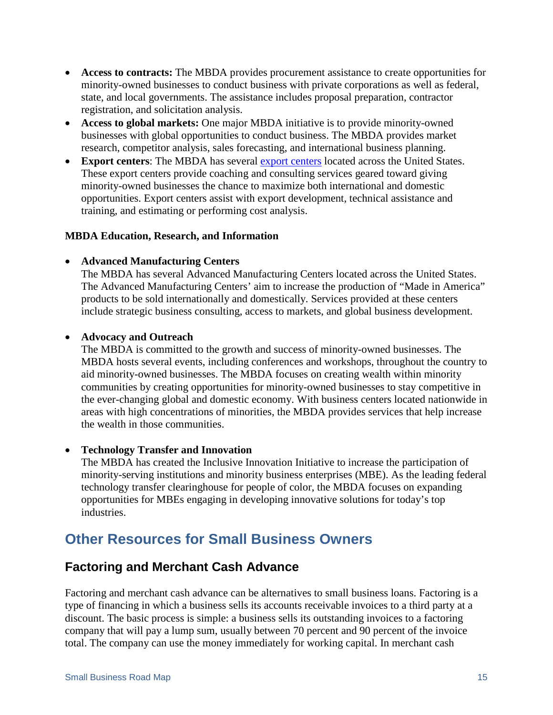- **Access to contracts:** The MBDA provides procurement assistance to create opportunities for minority-owned businesses to conduct business with private corporations as well as federal, state, and local governments. The assistance includes proposal preparation, contractor registration, and solicitation analysis.
- **Access to global markets:** One major MBDA initiative is to provide minority-owned businesses with global opportunities to conduct business. The MBDA provides market research, competitor analysis, sales forecasting, and international business planning.
- **Export centers:** The MBDA has several [export centers](https://www.mbda.gov/businesscenters#3/34.05/-111.95) located across the United States. These export centers provide coaching and consulting services geared toward giving minority-owned businesses the chance to maximize both international and domestic opportunities. Export centers assist with export development, technical assistance and training, and estimating or performing cost analysis.

#### <span id="page-16-0"></span>**MBDA Education, Research, and Information**

#### • **Advanced Manufacturing Centers**

The MBDA has several Advanced Manufacturing Centers located across the United States. The Advanced Manufacturing Centers' aim to increase the production of "Made in America" products to be sold internationally and domestically. Services provided at these centers include strategic business consulting, access to markets, and global business development.

#### • **Advocacy and Outreach**

The MBDA is committed to the growth and success of minority-owned businesses. The MBDA hosts several events, including conferences and workshops, throughout the country to aid minority-owned businesses. The MBDA focuses on creating wealth within minority communities by creating opportunities for minority-owned businesses to stay competitive in the ever-changing global and domestic economy. With business centers located nationwide in areas with high concentrations of minorities, the MBDA provides services that help increase the wealth in those communities.

#### • **Technology Transfer and Innovation**

The MBDA has created the Inclusive Innovation Initiative to increase the participation of minority-serving institutions and minority business enterprises (MBE). As the leading federal technology transfer clearinghouse for people of color, the MBDA focuses on expanding opportunities for MBEs engaging in developing innovative solutions for today's top industries.

## **Other Resources for Small Business Owners**

### **Factoring and Merchant Cash Advance**

Factoring and merchant cash advance can be alternatives to small business loans. Factoring is a type of financing in which a business sells its accounts receivable invoices to a third party at a discount. The basic process is simple: a business sells its outstanding invoices to a factoring company that will pay a lump sum, usually between 70 percent and 90 percent of the invoice total. The company can use the money immediately for working capital. In merchant cash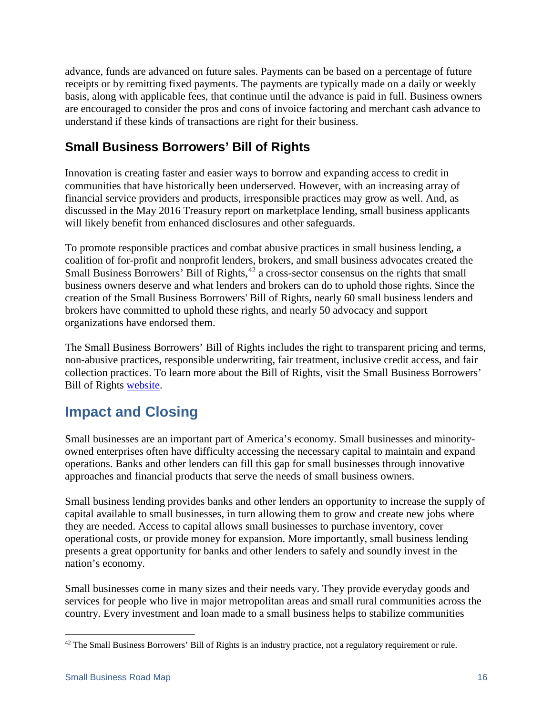advance, funds are advanced on future sales. Payments can be based on a percentage of future receipts or by remitting fixed payments. The payments are typically made on a daily or weekly basis, along with applicable fees, that continue until the advance is paid in full. Business owners are encouraged to consider the pros and cons of invoice factoring and merchant cash advance to understand if these kinds of transactions are right for their business.

## **Small Business Borrowers' Bill of Rights**

Innovation is creating faster and easier ways to borrow and expanding access to credit in communities that have historically been underserved. However, with an increasing array of financial service providers and products, irresponsible practices may grow as well. And, as discussed in the May 2016 Treasury report on marketplace lending, small business applicants will likely benefit from enhanced disclosures and other safeguards.

To promote responsible practices and combat abusive practices in small business lending, a coalition of for-profit and nonprofit lenders, brokers, and small business advocates created the Small Business Borrowers' Bill of Rights,<sup>[42](#page-17-1)</sup> a cross-sector consensus on the rights that small business owners deserve and what lenders and brokers can do to uphold those rights. Since the creation of the Small Business Borrowers' Bill of Rights, nearly 60 small business lenders and brokers have committed to uphold these rights, and nearly 50 advocacy and support organizations have endorsed them.

The Small Business Borrowers' Bill of Rights includes the right to transparent pricing and terms, non-abusive practices, responsible underwriting, fair treatment, inclusive credit access, and fair collection practices. To learn more about the Bill of Rights, visit the Small Business Borrowers' Bill of Rights [website.](http://www.borrowersbillofrights.org/)

## <span id="page-17-0"></span>**Impact and Closing**

Small businesses are an important part of America's economy. Small businesses and minorityowned enterprises often have difficulty accessing the necessary capital to maintain and expand operations. Banks and other lenders can fill this gap for small businesses through innovative approaches and financial products that serve the needs of small business owners.

Small business lending provides banks and other lenders an opportunity to increase the supply of capital available to small businesses, in turn allowing them to grow and create new jobs where they are needed. Access to capital allows small businesses to purchase inventory, cover operational costs, or provide money for expansion. More importantly, small business lending presents a great opportunity for banks and other lenders to safely and soundly invest in the nation's economy.

Small businesses come in many sizes and their needs vary. They provide everyday goods and services for people who live in major metropolitan areas and small rural communities across the country. Every investment and loan made to a small business helps to stabilize communities

<span id="page-17-1"></span><sup>&</sup>lt;sup>42</sup> The Small Business Borrowers' Bill of Rights is an industry practice, not a regulatory requirement or rule.